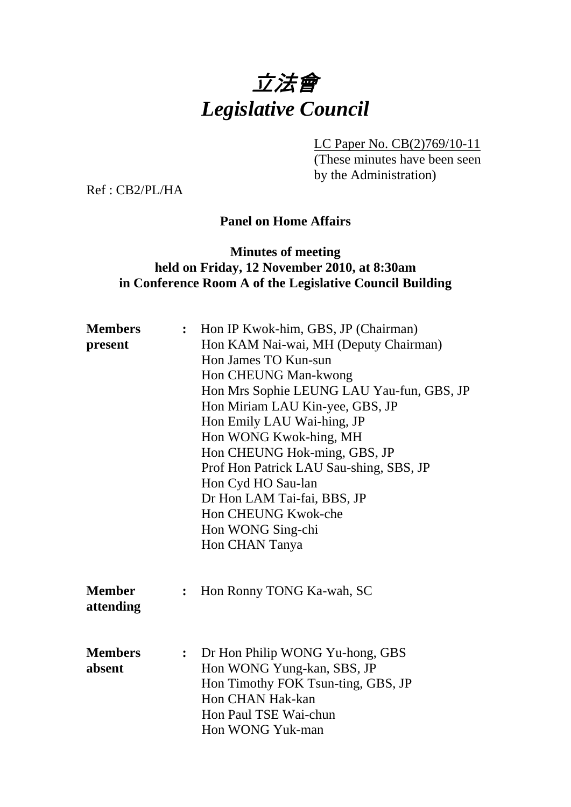

LC Paper No. CB(2)769/10-11

(These minutes have been seen by the Administration)

Ref : CB2/PL/HA

# **Panel on Home Affairs**

## **Minutes of meeting held on Friday, 12 November 2010, at 8:30am in Conference Room A of the Legislative Council Building**

| <b>Members</b><br>present  |   | : Hon IP Kwok-him, GBS, JP (Chairman)<br>Hon KAM Nai-wai, MH (Deputy Chairman)<br>Hon James TO Kun-sun<br>Hon CHEUNG Man-kwong<br>Hon Mrs Sophie LEUNG LAU Yau-fun, GBS, JP<br>Hon Miriam LAU Kin-yee, GBS, JP<br>Hon Emily LAU Wai-hing, JP<br>Hon WONG Kwok-hing, MH<br>Hon CHEUNG Hok-ming, GBS, JP<br>Prof Hon Patrick LAU Sau-shing, SBS, JP<br>Hon Cyd HO Sau-lan<br>Dr Hon LAM Tai-fai, BBS, JP<br>Hon CHEUNG Kwok-che<br>Hon WONG Sing-chi<br>Hon CHAN Tanya |
|----------------------------|---|----------------------------------------------------------------------------------------------------------------------------------------------------------------------------------------------------------------------------------------------------------------------------------------------------------------------------------------------------------------------------------------------------------------------------------------------------------------------|
| <b>Member</b><br>attending | : | Hon Ronny TONG Ka-wah, SC                                                                                                                                                                                                                                                                                                                                                                                                                                            |
| <b>Members</b><br>absent   | : | Dr Hon Philip WONG Yu-hong, GBS<br>Hon WONG Yung-kan, SBS, JP<br>Hon Timothy FOK Tsun-ting, GBS, JP<br>Hon CHAN Hak-kan<br>Hon Paul TSE Wai-chun<br>Hon WONG Yuk-man                                                                                                                                                                                                                                                                                                 |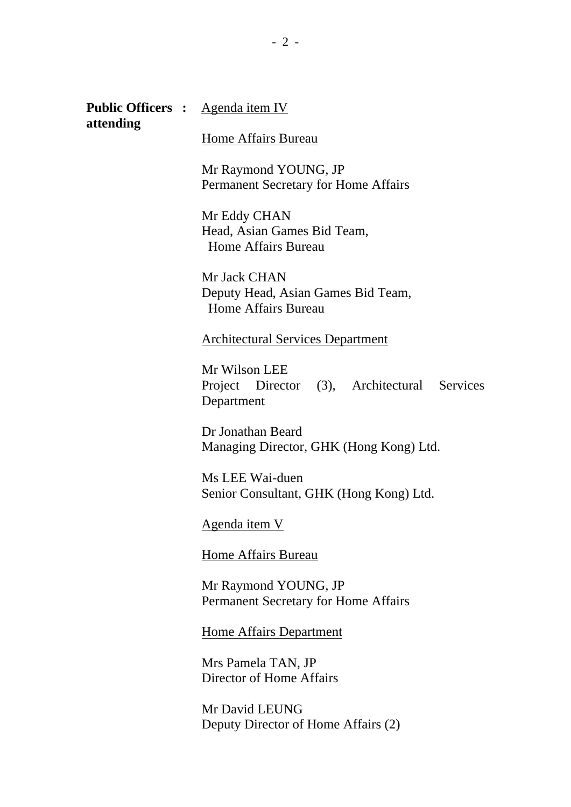**Public Officers :** <u>Agenda item IV</u> **attending** 

#### Home Affairs Bureau

Mr Raymond YOUNG, JP Permanent Secretary for Home Affairs

Mr Eddy CHAN Head, Asian Games Bid Team, Home Affairs Bureau

Mr Jack CHAN Deputy Head, Asian Games Bid Team, Home Affairs Bureau

Architectural Services Department

Mr Wilson LEE Project Director (3), Architectural Services Department

Dr Jonathan Beard Managing Director, GHK (Hong Kong) Ltd.

Ms LEE Wai-duen Senior Consultant, GHK (Hong Kong) Ltd.

Agenda item V

Home Affairs Bureau

Mr Raymond YOUNG, JP Permanent Secretary for Home Affairs

Home Affairs Department

Mrs Pamela TAN, JP Director of Home Affairs

Mr David LEUNG Deputy Director of Home Affairs (2)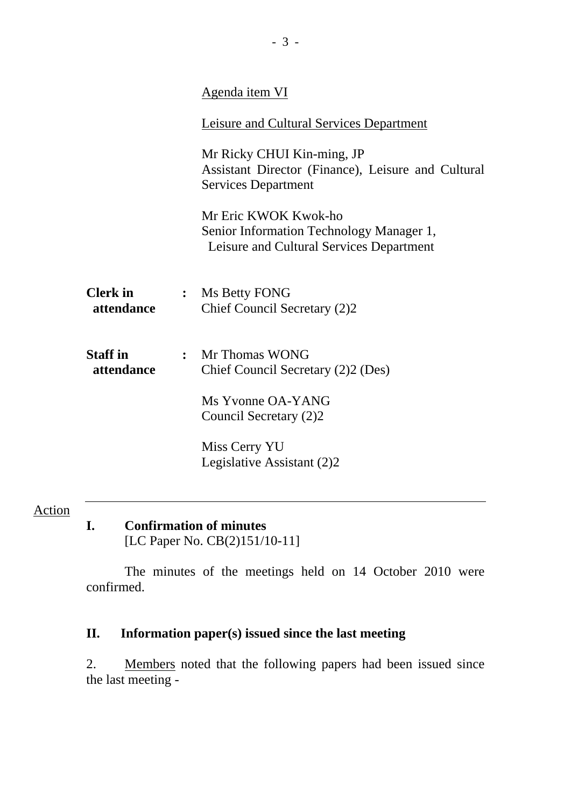|                               | Agenda item VI                                                                                                 |
|-------------------------------|----------------------------------------------------------------------------------------------------------------|
|                               | Leisure and Cultural Services Department                                                                       |
|                               | Mr Ricky CHUI Kin-ming, JP<br>Assistant Director (Finance), Leisure and Cultural<br><b>Services Department</b> |
|                               | Mr Eric KWOK Kwok-ho<br>Senior Information Technology Manager 1,<br>Leisure and Cultural Services Department   |
| <b>Clerk</b> in<br>attendance | : Ms Betty FONG<br>Chief Council Secretary (2)2                                                                |
| <b>Staff in</b><br>attendance | : Mr Thomas WONG<br>Chief Council Secretary (2)2 (Des)                                                         |
|                               | Ms Yvonne OA-YANG<br>Council Secretary (2)2                                                                    |
|                               | Miss Cerry YU<br>Legislative Assistant (2)2                                                                    |
|                               |                                                                                                                |

**I. Confirmation of minutes**  [LC Paper No. CB(2)151/10-11]

The minutes of the meetings held on 14 October 2010 were confirmed.

## **II. Information paper(s) issued since the last meeting**

2. Members noted that the following papers had been issued since the last meeting -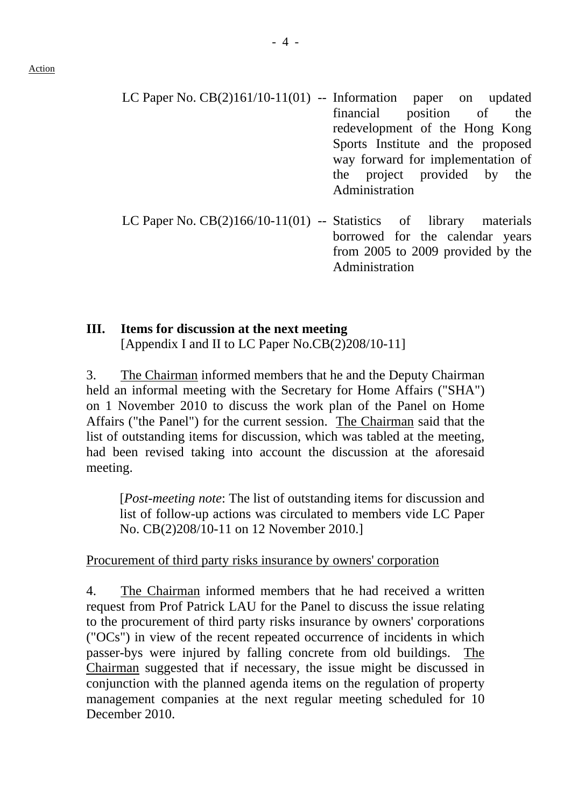- LC Paper No. CB(2)161/10-11(01) -- Information paper on updated financial position of the redevelopment of the Hong Kong Sports Institute and the proposed way forward for implementation of the project provided by the Administration
- LC Paper No.  $CB(2)166/10-11(01)$  -- Statistics of library materials borrowed for the calendar years from 2005 to 2009 provided by the Administration

# **III. Items for discussion at the next meeting**  [Appendix I and II to LC Paper No.CB(2)208/10-11]

3. The Chairman informed members that he and the Deputy Chairman held an informal meeting with the Secretary for Home Affairs ("SHA") on 1 November 2010 to discuss the work plan of the Panel on Home Affairs ("the Panel") for the current session. The Chairman said that the list of outstanding items for discussion, which was tabled at the meeting, had been revised taking into account the discussion at the aforesaid meeting.

[*Post-meeting note*: The list of outstanding items for discussion and list of follow-up actions was circulated to members vide LC Paper No. CB(2)208/10-11 on 12 November 2010.]

## Procurement of third party risks insurance by owners' corporation

4. The Chairman informed members that he had received a written request from Prof Patrick LAU for the Panel to discuss the issue relating to the procurement of third party risks insurance by owners' corporations ("OCs") in view of the recent repeated occurrence of incidents in which passer-bys were injured by falling concrete from old buildings. The Chairman suggested that if necessary, the issue might be discussed in conjunction with the planned agenda items on the regulation of property management companies at the next regular meeting scheduled for 10 December 2010.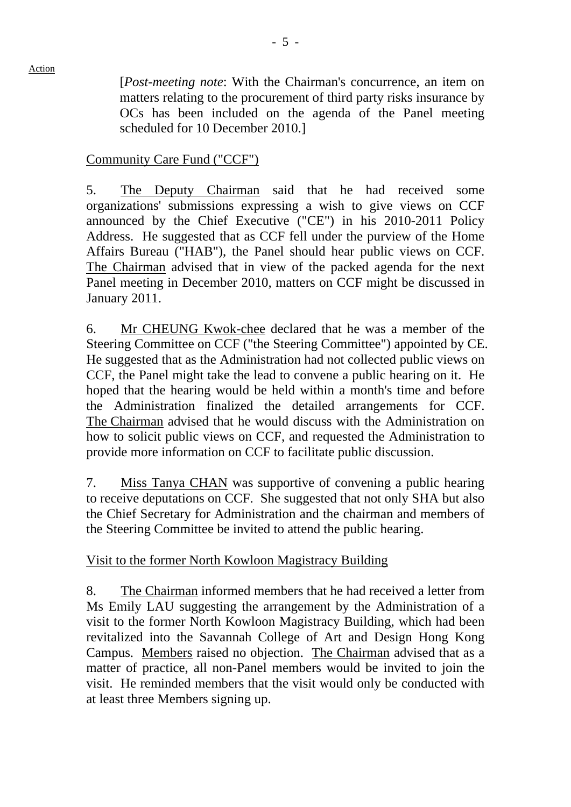[*Post-meeting note*: With the Chairman's concurrence, an item on matters relating to the procurement of third party risks insurance by OCs has been included on the agenda of the Panel meeting scheduled for 10 December 2010.]

#### Community Care Fund ("CCF")

5. The Deputy Chairman said that he had received some organizations' submissions expressing a wish to give views on CCF announced by the Chief Executive ("CE") in his 2010-2011 Policy Address. He suggested that as CCF fell under the purview of the Home Affairs Bureau ("HAB"), the Panel should hear public views on CCF. The Chairman advised that in view of the packed agenda for the next Panel meeting in December 2010, matters on CCF might be discussed in January 2011.

6. Mr CHEUNG Kwok-chee declared that he was a member of the Steering Committee on CCF ("the Steering Committee") appointed by CE. He suggested that as the Administration had not collected public views on CCF, the Panel might take the lead to convene a public hearing on it. He hoped that the hearing would be held within a month's time and before the Administration finalized the detailed arrangements for CCF. The Chairman advised that he would discuss with the Administration on how to solicit public views on CCF, and requested the Administration to provide more information on CCF to facilitate public discussion.

7. Miss Tanya CHAN was supportive of convening a public hearing to receive deputations on CCF. She suggested that not only SHA but also the Chief Secretary for Administration and the chairman and members of the Steering Committee be invited to attend the public hearing.

## Visit to the former North Kowloon Magistracy Building

8. The Chairman informed members that he had received a letter from Ms Emily LAU suggesting the arrangement by the Administration of a visit to the former North Kowloon Magistracy Building, which had been revitalized into the Savannah College of Art and Design Hong Kong Campus. Members raised no objection. The Chairman advised that as a matter of practice, all non-Panel members would be invited to join the visit. He reminded members that the visit would only be conducted with at least three Members signing up.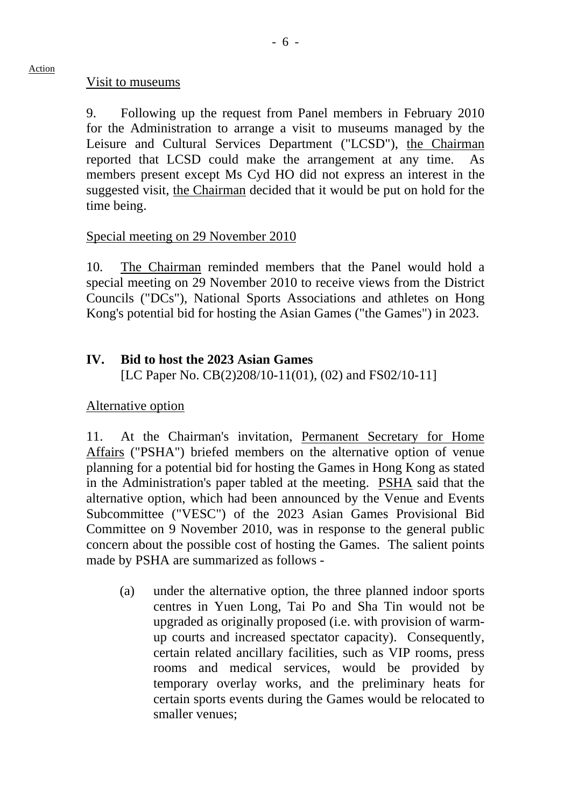#### Visit to museums

9. Following up the request from Panel members in February 2010 for the Administration to arrange a visit to museums managed by the Leisure and Cultural Services Department ("LCSD"), the Chairman reported that LCSD could make the arrangement at any time. As members present except Ms Cyd HO did not express an interest in the suggested visit, the Chairman decided that it would be put on hold for the time being.

#### Special meeting on 29 November 2010

10. The Chairman reminded members that the Panel would hold a special meeting on 29 November 2010 to receive views from the District Councils ("DCs"), National Sports Associations and athletes on Hong Kong's potential bid for hosting the Asian Games ("the Games") in 2023.

## **IV. Bid to host the 2023 Asian Games**

[LC Paper No. CB(2)208/10-11(01), (02) and FS02/10-11]

## Alternative option

11. At the Chairman's invitation, Permanent Secretary for Home Affairs ("PSHA") briefed members on the alternative option of venue planning for a potential bid for hosting the Games in Hong Kong as stated in the Administration's paper tabled at the meeting. PSHA said that the alternative option, which had been announced by the Venue and Events Subcommittee ("VESC") of the 2023 Asian Games Provisional Bid Committee on 9 November 2010, was in response to the general public concern about the possible cost of hosting the Games. The salient points made by PSHA are summarized as follows -

(a) under the alternative option, the three planned indoor sports centres in Yuen Long, Tai Po and Sha Tin would not be upgraded as originally proposed (i.e. with provision of warmup courts and increased spectator capacity). Consequently, certain related ancillary facilities, such as VIP rooms, press rooms and medical services, would be provided by temporary overlay works, and the preliminary heats for certain sports events during the Games would be relocated to smaller venues;

#### Action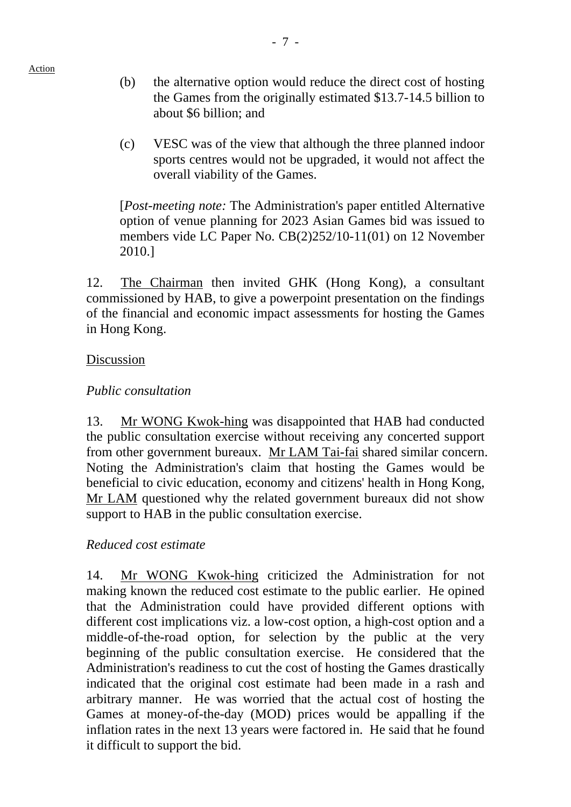- (b) the alternative option would reduce the direct cost of hosting the Games from the originally estimated \$13.7-14.5 billion to about \$6 billion; and
- (c) VESC was of the view that although the three planned indoor sports centres would not be upgraded, it would not affect the overall viability of the Games.

[*Post-meeting note:* The Administration's paper entitled Alternative option of venue planning for 2023 Asian Games bid was issued to members vide LC Paper No. CB(2)252/10-11(01) on 12 November 2010.]

12. The Chairman then invited GHK (Hong Kong), a consultant commissioned by HAB, to give a powerpoint presentation on the findings of the financial and economic impact assessments for hosting the Games in Hong Kong.

#### Discussion

## *Public consultation*

13. Mr WONG Kwok-hing was disappointed that HAB had conducted the public consultation exercise without receiving any concerted support from other government bureaux. Mr LAM Tai-fai shared similar concern. Noting the Administration's claim that hosting the Games would be beneficial to civic education, economy and citizens' health in Hong Kong, Mr LAM questioned why the related government bureaux did not show support to HAB in the public consultation exercise.

## *Reduced cost estimate*

14. Mr WONG Kwok-hing criticized the Administration for not making known the reduced cost estimate to the public earlier. He opined that the Administration could have provided different options with different cost implications viz. a low-cost option, a high-cost option and a middle-of-the-road option, for selection by the public at the very beginning of the public consultation exercise. He considered that the Administration's readiness to cut the cost of hosting the Games drastically indicated that the original cost estimate had been made in a rash and arbitrary manner. He was worried that the actual cost of hosting the Games at money-of-the-day (MOD) prices would be appalling if the inflation rates in the next 13 years were factored in. He said that he found it difficult to support the bid.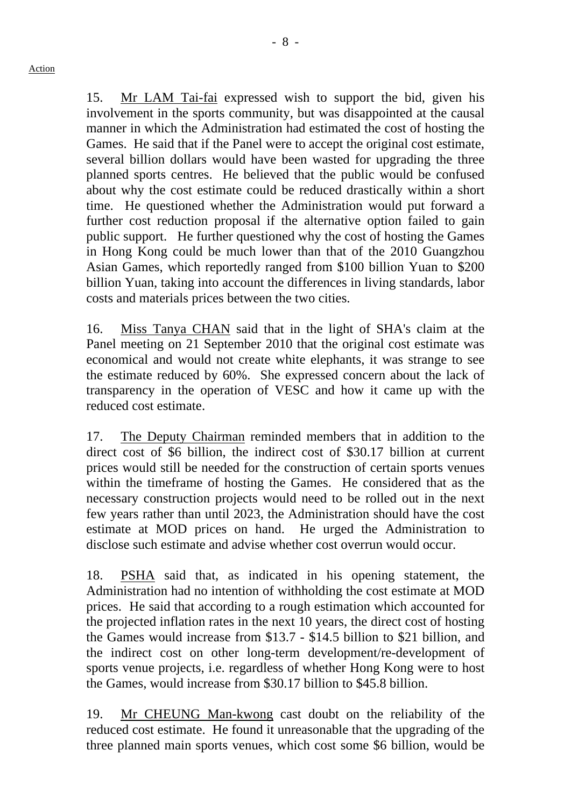15. Mr LAM Tai-fai expressed wish to support the bid, given his involvement in the sports community, but was disappointed at the causal manner in which the Administration had estimated the cost of hosting the Games. He said that if the Panel were to accept the original cost estimate, several billion dollars would have been wasted for upgrading the three planned sports centres. He believed that the public would be confused about why the cost estimate could be reduced drastically within a short time. He questioned whether the Administration would put forward a further cost reduction proposal if the alternative option failed to gain public support. He further questioned why the cost of hosting the Games in Hong Kong could be much lower than that of the 2010 Guangzhou Asian Games, which reportedly ranged from \$100 billion Yuan to \$200 billion Yuan, taking into account the differences in living standards, labor costs and materials prices between the two cities.

16. Miss Tanya CHAN said that in the light of SHA's claim at the Panel meeting on 21 September 2010 that the original cost estimate was economical and would not create white elephants, it was strange to see the estimate reduced by 60%. She expressed concern about the lack of transparency in the operation of VESC and how it came up with the reduced cost estimate.

17. The Deputy Chairman reminded members that in addition to the direct cost of \$6 billion, the indirect cost of \$30.17 billion at current prices would still be needed for the construction of certain sports venues within the timeframe of hosting the Games. He considered that as the necessary construction projects would need to be rolled out in the next few years rather than until 2023, the Administration should have the cost estimate at MOD prices on hand. He urged the Administration to disclose such estimate and advise whether cost overrun would occur.

18. PSHA said that, as indicated in his opening statement, the Administration had no intention of withholding the cost estimate at MOD prices. He said that according to a rough estimation which accounted for the projected inflation rates in the next 10 years, the direct cost of hosting the Games would increase from \$13.7 - \$14.5 billion to \$21 billion, and the indirect cost on other long-term development/re-development of sports venue projects, i.e. regardless of whether Hong Kong were to host the Games, would increase from \$30.17 billion to \$45.8 billion.

19. Mr CHEUNG Man-kwong cast doubt on the reliability of the reduced cost estimate. He found it unreasonable that the upgrading of the three planned main sports venues, which cost some \$6 billion, would be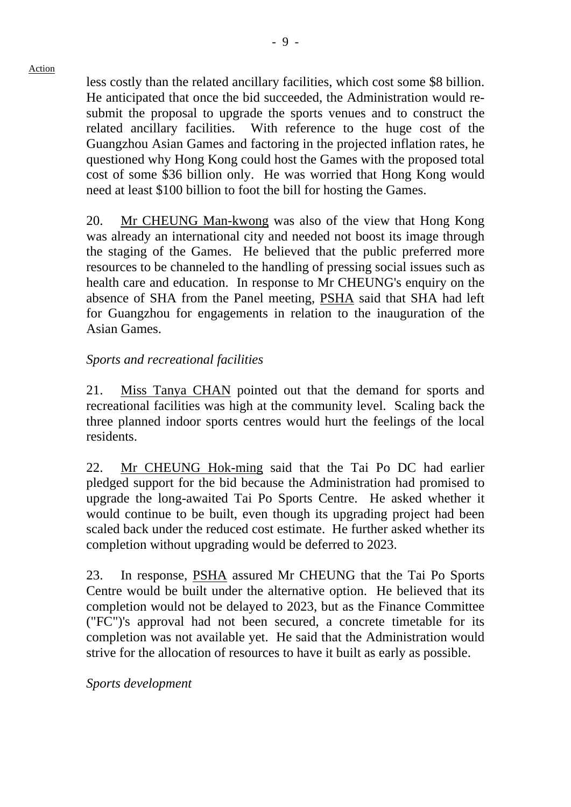less costly than the related ancillary facilities, which cost some \$8 billion. He anticipated that once the bid succeeded, the Administration would resubmit the proposal to upgrade the sports venues and to construct the related ancillary facilities. With reference to the huge cost of the Guangzhou Asian Games and factoring in the projected inflation rates, he questioned why Hong Kong could host the Games with the proposed total cost of some \$36 billion only. He was worried that Hong Kong would need at least \$100 billion to foot the bill for hosting the Games.

20. Mr CHEUNG Man-kwong was also of the view that Hong Kong was already an international city and needed not boost its image through the staging of the Games. He believed that the public preferred more resources to be channeled to the handling of pressing social issues such as health care and education. In response to Mr CHEUNG's enquiry on the absence of SHA from the Panel meeting, PSHA said that SHA had left for Guangzhou for engagements in relation to the inauguration of the Asian Games.

#### *Sports and recreational facilities*

21. Miss Tanya CHAN pointed out that the demand for sports and recreational facilities was high at the community level. Scaling back the three planned indoor sports centres would hurt the feelings of the local residents.

22. Mr CHEUNG Hok-ming said that the Tai Po DC had earlier pledged support for the bid because the Administration had promised to upgrade the long-awaited Tai Po Sports Centre. He asked whether it would continue to be built, even though its upgrading project had been scaled back under the reduced cost estimate. He further asked whether its completion without upgrading would be deferred to 2023.

23. In response, PSHA assured Mr CHEUNG that the Tai Po Sports Centre would be built under the alternative option. He believed that its completion would not be delayed to 2023, but as the Finance Committee ("FC")'s approval had not been secured, a concrete timetable for its completion was not available yet. He said that the Administration would strive for the allocation of resources to have it built as early as possible.

*Sports development*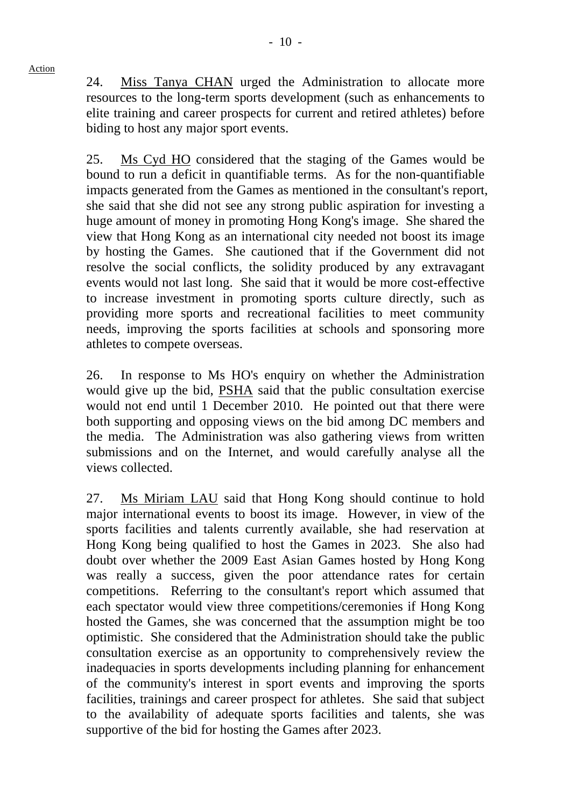24. Miss Tanya CHAN urged the Administration to allocate more resources to the long-term sports development (such as enhancements to elite training and career prospects for current and retired athletes) before biding to host any major sport events.

25. Ms Cyd HO considered that the staging of the Games would be bound to run a deficit in quantifiable terms. As for the non-quantifiable impacts generated from the Games as mentioned in the consultant's report, she said that she did not see any strong public aspiration for investing a huge amount of money in promoting Hong Kong's image. She shared the view that Hong Kong as an international city needed not boost its image by hosting the Games. She cautioned that if the Government did not resolve the social conflicts, the solidity produced by any extravagant events would not last long. She said that it would be more cost-effective to increase investment in promoting sports culture directly, such as providing more sports and recreational facilities to meet community needs, improving the sports facilities at schools and sponsoring more athletes to compete overseas.

26. In response to Ms HO's enquiry on whether the Administration would give up the bid, PSHA said that the public consultation exercise would not end until 1 December 2010. He pointed out that there were both supporting and opposing views on the bid among DC members and the media. The Administration was also gathering views from written submissions and on the Internet, and would carefully analyse all the views collected.

27. Ms Miriam LAU said that Hong Kong should continue to hold major international events to boost its image. However, in view of the sports facilities and talents currently available, she had reservation at Hong Kong being qualified to host the Games in 2023. She also had doubt over whether the 2009 East Asian Games hosted by Hong Kong was really a success, given the poor attendance rates for certain competitions. Referring to the consultant's report which assumed that each spectator would view three competitions/ceremonies if Hong Kong hosted the Games, she was concerned that the assumption might be too optimistic. She considered that the Administration should take the public consultation exercise as an opportunity to comprehensively review the inadequacies in sports developments including planning for enhancement of the community's interest in sport events and improving the sports facilities, trainings and career prospect for athletes. She said that subject to the availability of adequate sports facilities and talents, she was supportive of the bid for hosting the Games after 2023.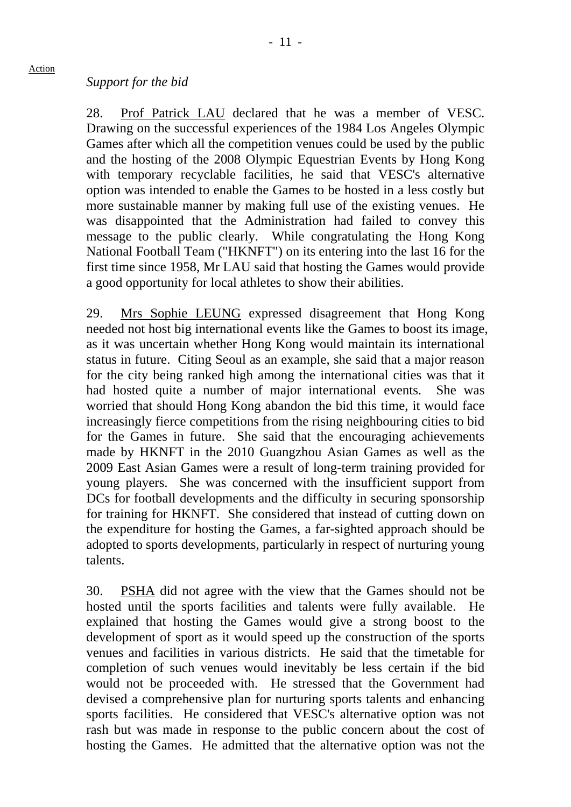#### *Support for the bid*

28. Prof Patrick LAU declared that he was a member of VESC. Drawing on the successful experiences of the 1984 Los Angeles Olympic Games after which all the competition venues could be used by the public and the hosting of the 2008 Olympic Equestrian Events by Hong Kong with temporary recyclable facilities, he said that VESC's alternative option was intended to enable the Games to be hosted in a less costly but more sustainable manner by making full use of the existing venues. He was disappointed that the Administration had failed to convey this message to the public clearly. While congratulating the Hong Kong National Football Team ("HKNFT") on its entering into the last 16 for the first time since 1958, Mr LAU said that hosting the Games would provide a good opportunity for local athletes to show their abilities.

29. Mrs Sophie LEUNG expressed disagreement that Hong Kong needed not host big international events like the Games to boost its image, as it was uncertain whether Hong Kong would maintain its international status in future. Citing Seoul as an example, she said that a major reason for the city being ranked high among the international cities was that it had hosted quite a number of major international events. She was worried that should Hong Kong abandon the bid this time, it would face increasingly fierce competitions from the rising neighbouring cities to bid for the Games in future. She said that the encouraging achievements made by HKNFT in the 2010 Guangzhou Asian Games as well as the 2009 East Asian Games were a result of long-term training provided for young players. She was concerned with the insufficient support from DCs for football developments and the difficulty in securing sponsorship for training for HKNFT. She considered that instead of cutting down on the expenditure for hosting the Games, a far-sighted approach should be adopted to sports developments, particularly in respect of nurturing young talents.

30. PSHA did not agree with the view that the Games should not be hosted until the sports facilities and talents were fully available. He explained that hosting the Games would give a strong boost to the development of sport as it would speed up the construction of the sports venues and facilities in various districts. He said that the timetable for completion of such venues would inevitably be less certain if the bid would not be proceeded with. He stressed that the Government had devised a comprehensive plan for nurturing sports talents and enhancing sports facilities. He considered that VESC's alternative option was not rash but was made in response to the public concern about the cost of hosting the Games. He admitted that the alternative option was not the

Action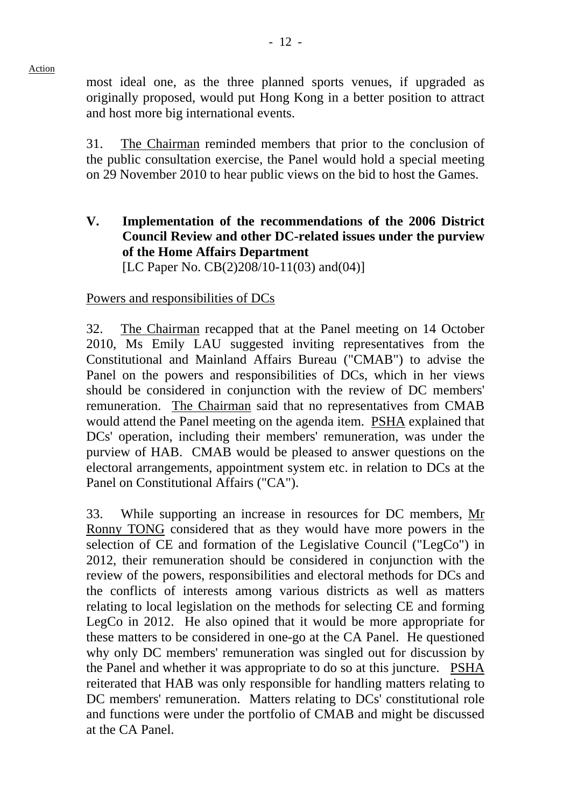most ideal one, as the three planned sports venues, if upgraded as originally proposed, would put Hong Kong in a better position to attract and host more big international events.

31. The Chairman reminded members that prior to the conclusion of the public consultation exercise, the Panel would hold a special meeting on 29 November 2010 to hear public views on the bid to host the Games.

**V. Implementation of the recommendations of the 2006 District Council Review and other DC-related issues under the purview of the Home Affairs Department**  [LC Paper No. CB(2)208/10-11(03) and (04)]

## Powers and responsibilities of DCs

32. The Chairman recapped that at the Panel meeting on 14 October 2010, Ms Emily LAU suggested inviting representatives from the Constitutional and Mainland Affairs Bureau ("CMAB") to advise the Panel on the powers and responsibilities of DCs, which in her views should be considered in conjunction with the review of DC members' remuneration. The Chairman said that no representatives from CMAB would attend the Panel meeting on the agenda item. PSHA explained that DCs' operation, including their members' remuneration, was under the purview of HAB. CMAB would be pleased to answer questions on the electoral arrangements, appointment system etc. in relation to DCs at the Panel on Constitutional Affairs ("CA").

33. While supporting an increase in resources for DC members, Mr Ronny TONG considered that as they would have more powers in the selection of CE and formation of the Legislative Council ("LegCo") in 2012, their remuneration should be considered in conjunction with the review of the powers, responsibilities and electoral methods for DCs and the conflicts of interests among various districts as well as matters relating to local legislation on the methods for selecting CE and forming LegCo in 2012. He also opined that it would be more appropriate for these matters to be considered in one-go at the CA Panel. He questioned why only DC members' remuneration was singled out for discussion by the Panel and whether it was appropriate to do so at this juncture. PSHA reiterated that HAB was only responsible for handling matters relating to DC members' remuneration. Matters relating to DCs' constitutional role and functions were under the portfolio of CMAB and might be discussed at the CA Panel.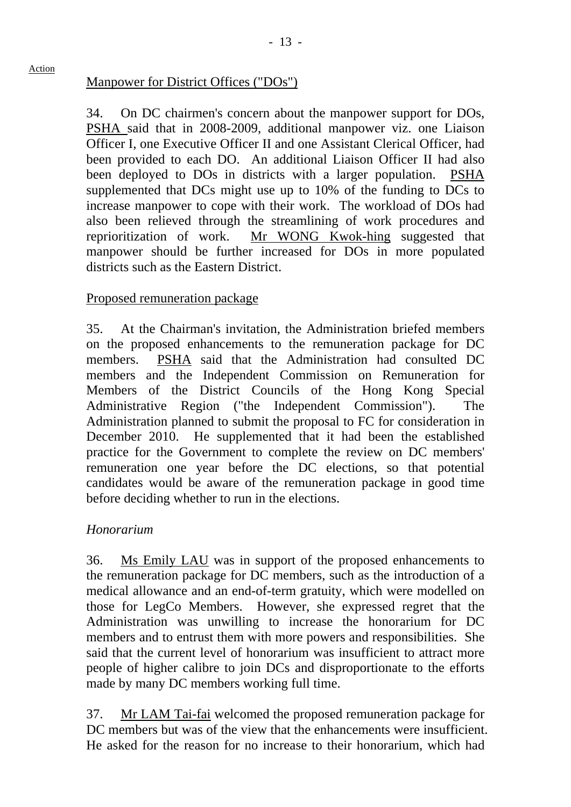## Manpower for District Offices ("DOs")

34. On DC chairmen's concern about the manpower support for DOs, PSHA said that in 2008-2009, additional manpower viz. one Liaison Officer I, one Executive Officer II and one Assistant Clerical Officer, had been provided to each DO. An additional Liaison Officer II had also been deployed to DOs in districts with a larger population. PSHA supplemented that DCs might use up to 10% of the funding to DCs to increase manpower to cope with their work. The workload of DOs had also been relieved through the streamlining of work procedures and reprioritization of work. Mr WONG Kwok-hing suggested that manpower should be further increased for DOs in more populated districts such as the Eastern District.

## Proposed remuneration package

35. At the Chairman's invitation, the Administration briefed members on the proposed enhancements to the remuneration package for DC members. PSHA said that the Administration had consulted DC members and the Independent Commission on Remuneration for Members of the District Councils of the Hong Kong Special Administrative Region ("the Independent Commission"). The Administration planned to submit the proposal to FC for consideration in December 2010. He supplemented that it had been the established practice for the Government to complete the review on DC members' remuneration one year before the DC elections, so that potential candidates would be aware of the remuneration package in good time before deciding whether to run in the elections.

## *Honorarium*

36. Ms Emily LAU was in support of the proposed enhancements to the remuneration package for DC members, such as the introduction of a medical allowance and an end-of-term gratuity, which were modelled on those for LegCo Members. However, she expressed regret that the Administration was unwilling to increase the honorarium for DC members and to entrust them with more powers and responsibilities. She said that the current level of honorarium was insufficient to attract more people of higher calibre to join DCs and disproportionate to the efforts made by many DC members working full time.

37. Mr LAM Tai-fai welcomed the proposed remuneration package for DC members but was of the view that the enhancements were insufficient. He asked for the reason for no increase to their honorarium, which had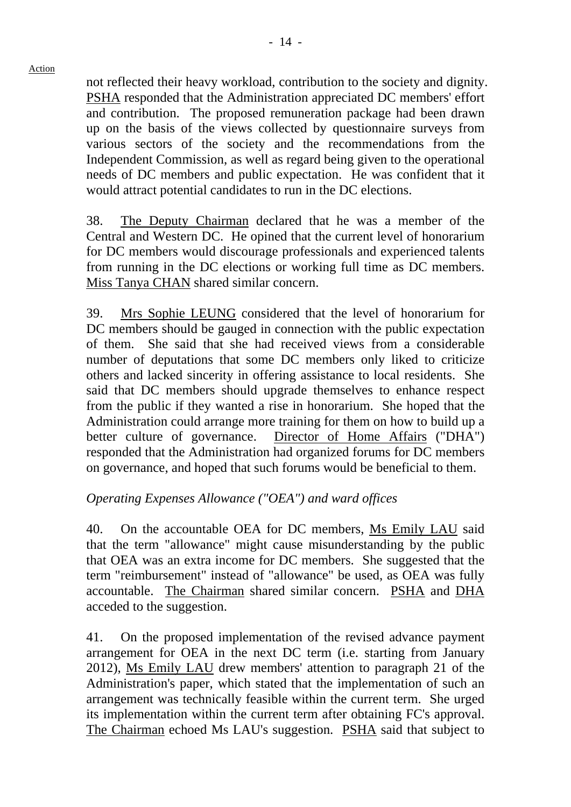not reflected their heavy workload, contribution to the society and dignity. PSHA responded that the Administration appreciated DC members' effort and contribution. The proposed remuneration package had been drawn up on the basis of the views collected by questionnaire surveys from various sectors of the society and the recommendations from the Independent Commission, as well as regard being given to the operational needs of DC members and public expectation. He was confident that it would attract potential candidates to run in the DC elections.

38. The Deputy Chairman declared that he was a member of the Central and Western DC. He opined that the current level of honorarium for DC members would discourage professionals and experienced talents from running in the DC elections or working full time as DC members. Miss Tanya CHAN shared similar concern.

39. Mrs Sophie LEUNG considered that the level of honorarium for DC members should be gauged in connection with the public expectation of them. She said that she had received views from a considerable number of deputations that some DC members only liked to criticize others and lacked sincerity in offering assistance to local residents. She said that DC members should upgrade themselves to enhance respect from the public if they wanted a rise in honorarium. She hoped that the Administration could arrange more training for them on how to build up a better culture of governance. Director of Home Affairs ("DHA") responded that the Administration had organized forums for DC members on governance, and hoped that such forums would be beneficial to them.

## *Operating Expenses Allowance ("OEA") and ward offices*

40. On the accountable OEA for DC members, Ms Emily LAU said that the term "allowance" might cause misunderstanding by the public that OEA was an extra income for DC members. She suggested that the term "reimbursement" instead of "allowance" be used, as OEA was fully accountable. The Chairman shared similar concern. PSHA and DHA acceded to the suggestion.

41. On the proposed implementation of the revised advance payment arrangement for OEA in the next DC term (i.e. starting from January 2012), Ms Emily LAU drew members' attention to paragraph 21 of the Administration's paper, which stated that the implementation of such an arrangement was technically feasible within the current term. She urged its implementation within the current term after obtaining FC's approval. The Chairman echoed Ms LAU's suggestion. PSHA said that subject to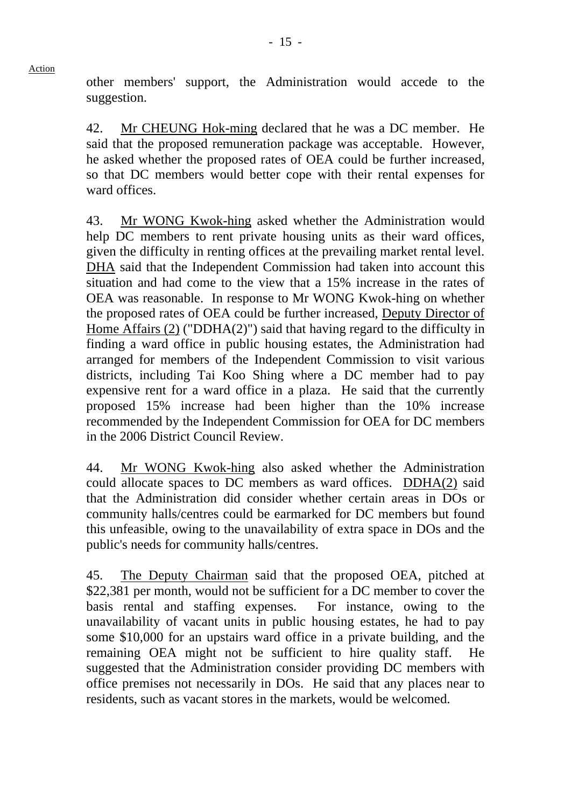other members' support, the Administration would accede to the suggestion.

42. Mr CHEUNG Hok-ming declared that he was a DC member. He said that the proposed remuneration package was acceptable. However, he asked whether the proposed rates of OEA could be further increased, so that DC members would better cope with their rental expenses for ward offices.

43. Mr WONG Kwok-hing asked whether the Administration would help DC members to rent private housing units as their ward offices, given the difficulty in renting offices at the prevailing market rental level. DHA said that the Independent Commission had taken into account this situation and had come to the view that a 15% increase in the rates of OEA was reasonable. In response to Mr WONG Kwok-hing on whether the proposed rates of OEA could be further increased, Deputy Director of Home Affairs (2) ("DDHA(2)") said that having regard to the difficulty in finding a ward office in public housing estates, the Administration had arranged for members of the Independent Commission to visit various districts, including Tai Koo Shing where a DC member had to pay expensive rent for a ward office in a plaza. He said that the currently proposed 15% increase had been higher than the 10% increase recommended by the Independent Commission for OEA for DC members in the 2006 District Council Review.

44. Mr WONG Kwok-hing also asked whether the Administration could allocate spaces to DC members as ward offices. DDHA(2) said that the Administration did consider whether certain areas in DOs or community halls/centres could be earmarked for DC members but found this unfeasible, owing to the unavailability of extra space in DOs and the public's needs for community halls/centres.

45. The Deputy Chairman said that the proposed OEA, pitched at \$22,381 per month, would not be sufficient for a DC member to cover the basis rental and staffing expenses. For instance, owing to the unavailability of vacant units in public housing estates, he had to pay some \$10,000 for an upstairs ward office in a private building, and the remaining OEA might not be sufficient to hire quality staff. He suggested that the Administration consider providing DC members with office premises not necessarily in DOs. He said that any places near to residents, such as vacant stores in the markets, would be welcomed.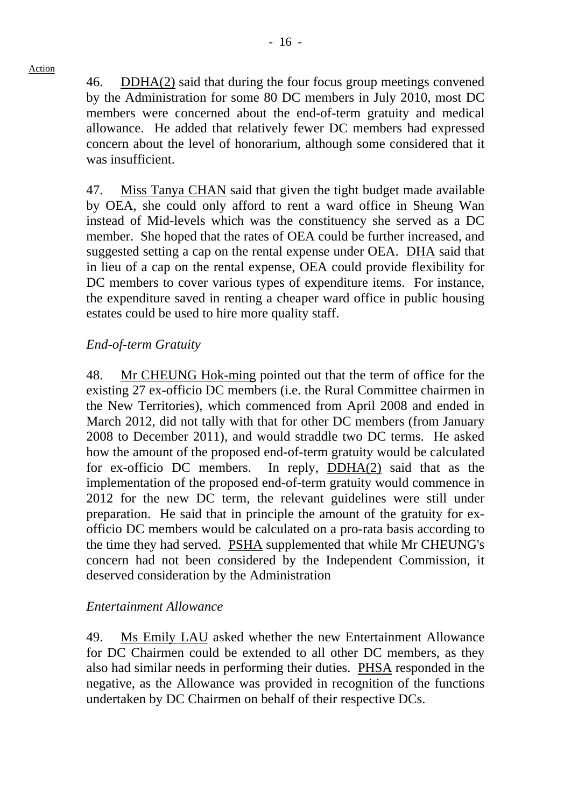46. DDHA(2) said that during the four focus group meetings convened by the Administration for some 80 DC members in July 2010, most DC members were concerned about the end-of-term gratuity and medical allowance. He added that relatively fewer DC members had expressed concern about the level of honorarium, although some considered that it was insufficient.

47. Miss Tanya CHAN said that given the tight budget made available by OEA, she could only afford to rent a ward office in Sheung Wan instead of Mid-levels which was the constituency she served as a DC member. She hoped that the rates of OEA could be further increased, and suggested setting a cap on the rental expense under OEA. DHA said that in lieu of a cap on the rental expense, OEA could provide flexibility for DC members to cover various types of expenditure items. For instance, the expenditure saved in renting a cheaper ward office in public housing estates could be used to hire more quality staff.

# *End-of-term Gratuity*

48. Mr CHEUNG Hok-ming pointed out that the term of office for the existing 27 ex-officio DC members (i.e. the Rural Committee chairmen in the New Territories), which commenced from April 2008 and ended in March 2012, did not tally with that for other DC members (from January 2008 to December 2011), and would straddle two DC terms. He asked how the amount of the proposed end-of-term gratuity would be calculated for ex-officio DC members. In reply, DDHA(2) said that as the implementation of the proposed end-of-term gratuity would commence in 2012 for the new DC term, the relevant guidelines were still under preparation. He said that in principle the amount of the gratuity for exofficio DC members would be calculated on a pro-rata basis according to the time they had served. PSHA supplemented that while Mr CHEUNG's concern had not been considered by the Independent Commission, it deserved consideration by the Administration

## *Entertainment Allowance*

49. Ms Emily LAU asked whether the new Entertainment Allowance for DC Chairmen could be extended to all other DC members, as they also had similar needs in performing their duties. PHSA responded in the negative, as the Allowance was provided in recognition of the functions undertaken by DC Chairmen on behalf of their respective DCs.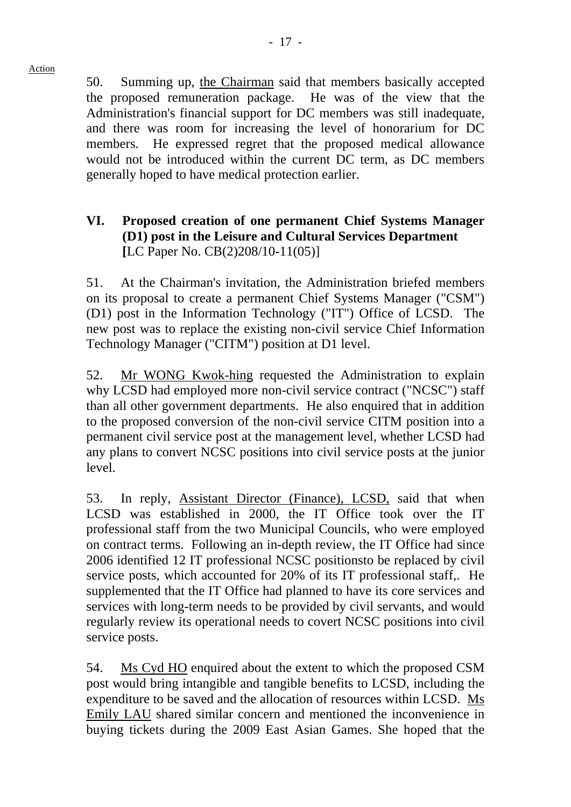50. Summing up, the Chairman said that members basically accepted the proposed remuneration package. He was of the view that the Administration's financial support for DC members was still inadequate, and there was room for increasing the level of honorarium for DC members. He expressed regret that the proposed medical allowance would not be introduced within the current DC term, as DC members generally hoped to have medical protection earlier.

# **VI. Proposed creation of one permanent Chief Systems Manager (D1) post in the Leisure and Cultural Services Department [**LC Paper No. CB(2)208/10-11(05)]

51. At the Chairman's invitation, the Administration briefed members on its proposal to create a permanent Chief Systems Manager ("CSM") (D1) post in the Information Technology ("IT") Office of LCSD. The new post was to replace the existing non-civil service Chief Information Technology Manager ("CITM") position at D1 level.

52. Mr WONG Kwok-hing requested the Administration to explain why LCSD had employed more non-civil service contract ("NCSC") staff than all other government departments. He also enquired that in addition to the proposed conversion of the non-civil service CITM position into a permanent civil service post at the management level, whether LCSD had any plans to convert NCSC positions into civil service posts at the junior level.

53. In reply, Assistant Director (Finance), LCSD, said that when LCSD was established in 2000, the IT Office took over the IT professional staff from the two Municipal Councils, who were employed on contract terms. Following an in-depth review, the IT Office had since 2006 identified 12 IT professional NCSC positionsto be replaced by civil service posts, which accounted for 20% of its IT professional staff,. He supplemented that the IT Office had planned to have its core services and services with long-term needs to be provided by civil servants, and would regularly review its operational needs to covert NCSC positions into civil service posts.

54. Ms Cyd HO enquired about the extent to which the proposed CSM post would bring intangible and tangible benefits to LCSD, including the expenditure to be saved and the allocation of resources within LCSD. Ms Emily LAU shared similar concern and mentioned the inconvenience in buying tickets during the 2009 East Asian Games. She hoped that the